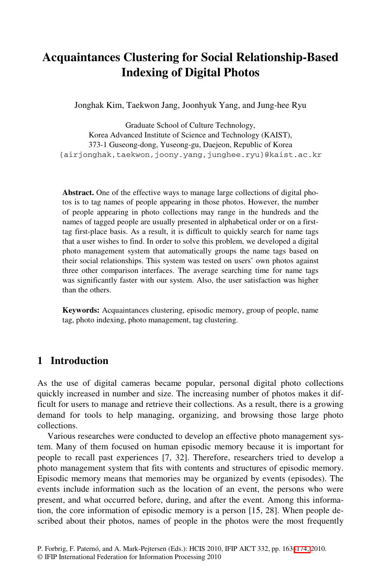# **Acquaintances Clustering for Social Relationship-Based Indexing of Digital Photos**

Jonghak Kim, Taekwon Jang, Joonhyuk Yang, and Jung-hee Ryu

Graduate School of Culture Technology, Korea Advanced Institute of Science and Technology (KAIST), 373-1 Guseong-dong, Yuseong-gu, Daejeon, Republic of Korea {airjonghak,taekwon,joony.yang,junghee.ryu}@kaist.ac.kr

**Abstract.** One of the effective ways to manage large collections of digital photos is to tag names of people appearing in those photos. However, the number of people appearing in photo collections may range in the hundreds and the names of tagged people are usually presented in alphabetical order or on a firsttag first-place basis. As a result, it is difficult to quickly search for name tags that a user wishes to find. In order to solve this problem, we developed a digital photo management system that automatically groups the name tags based on their social relationships. This system was tested on users' own photos against three other comparison interfaces. The average searching time for name tags was significantly faster with our system. Also, the user satisfaction was higher than the others.

**Keywords:** Acquaintances clustering, episodic memory, group of people, name tag, photo indexing, photo management, tag clustering.

### **1 Introduction**

As the use of digital cameras became popular, personal digital photo collections quickly increased in number and size. The increasing number of photos makes it difficult for users to manage and retrieve their collections. As a result, there is a growing demand for tools to help managing, organizing, and browsing those large photo collections.

Various researches were conducted to develop an effective photo management system. Many of them focused on human episodic memory because it is important for people to recall past experiences [7, 32]. Therefore, researchers tried to develop a photo management system that fits with contents a[nd st](#page-11-0)ructures of episodic memory. Episodic memory means that memories may be organized by events (episodes). The events include information such as the location of an event, the persons who were present, and what occurred before, during, and after the event. Among this information, the core information of episodic memory is a person [15, 28]. When people described about their photos, names of people in the photos were the most frequently

P. Forbrig, F. Paternó, and A. Mark-Pejtersen (Eds.): HCIS 2010, IFIP AICT 332, pp. 163–174, 2010.

<sup>©</sup> IFIP International Federation for Information Processing 2010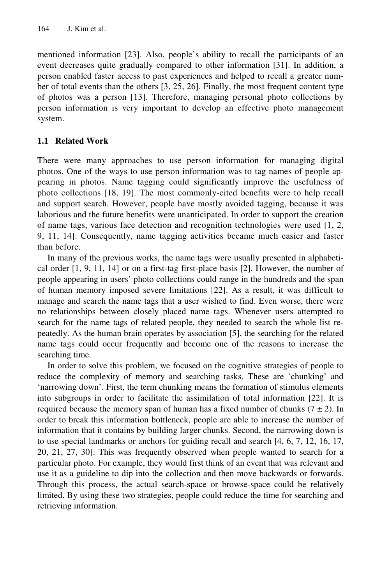mentioned information [23]. Also, people's ability to recall the participants of an event decreases quite gradually compared to other information [31]. In addition, a person enabled faster access to past experiences and helped to recall a greater number of total events than the others [3, 25, 26]. Finally, the most frequent content type of photos was a person [13]. Therefore, managing personal photo collections by person information is very important to develop an effective photo management system.

#### **1.1 Related Work**

There were many approaches to use person information for managing digital photos. One of the ways to use person information was to tag names of people appearing in photos. Name tagging could significantly improve the usefulness of photo collections [18, 19]. The most commonly-cited benefits were to help recall and support search. However, people have mostly avoided tagging, because it was laborious and the future benefits were unanticipated. In order to support the creation of name tags, various face detection and recognition technologies were used [1, 2, 9, 11, 14]. Consequently, name tagging activities became much easier and faster than before.

In many of the previous works, the name tags were usually presented in alphabetical order [1, 9, 11, 14] or on a first-tag first-place basis [2]. However, the number of people appearing in users' photo collections could range in the hundreds and the span of human memory imposed severe limitations [22]. As a result, it was difficult to manage and search the name tags that a user wished to find. Even worse, there were no relationships between closely placed name tags. Whenever users attempted to search for the name tags of related people, they needed to search the whole list repeatedly. As the human brain operates by association [5], the searching for the related name tags could occur frequently and become one of the reasons to increase the searching time.

In order to solve this problem, we focused on the cognitive strategies of people to reduce the complexity of memory and searching tasks. These are 'chunking' and 'narrowing down'. First, the term chunking means the formation of stimulus elements into subgroups in order to facilitate the assimilation of total information [22]. It is required because the memory span of human has a fixed number of chunks  $(7 \pm 2)$ . In order to break this information bottleneck, people are able to increase the number of information that it contains by building larger chunks. Second, the narrowing down is to use special landmarks or anchors for guiding recall and search [4, 6, 7, 12, 16, 17, 20, 21, 27, 30]. This was frequently observed when people wanted to search for a particular photo. For example, they would first think of an event that was relevant and use it as a guideline to dip into the collection and then move backwards or forwards. Through this process, the actual search-space or browse-space could be relatively limited. By using these two strategies, people could reduce the time for searching and retrieving information.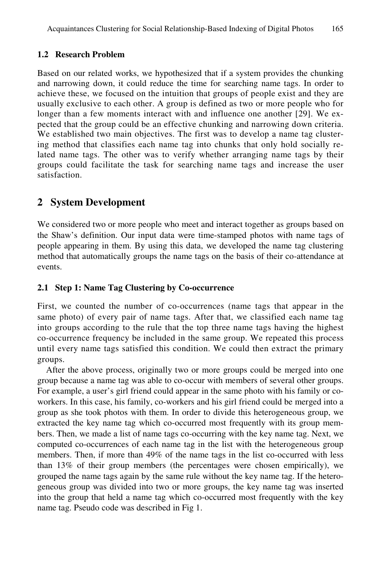#### **1.2 Research Problem**

Based on our related works, we hypothesized that if a system provides the chunking and narrowing down, it could reduce the time for searching name tags. In order to achieve these, we focused on the intuition that groups of people exist and they are usually exclusive to each other. A group is defined as two or more people who for longer than a few moments interact with and influence one another [29]. We expected that the group could be an effective chunking and narrowing down criteria. We established two main objectives. The first was to develop a name tag clustering method that classifies each name tag into chunks that only hold socially related name tags. The other was to verify whether arranging name tags by their groups could facilitate the task for searching name tags and increase the user satisfaction.

### **2 System Development**

We considered two or more people who meet and interact together as groups based on the Shaw's definition. Our input data were time-stamped photos with name tags of people appearing in them. By using this data, we developed the name tag clustering method that automatically groups the name tags on the basis of their co-attendance at events.

#### **2.1 Step 1: Name Tag Clustering by Co-occurrence**

First, we counted the number of co-occurrences (name tags that appear in the same photo) of every pair of name tags. After that, we classified each name tag into groups according to the rule that the top three name tags having the highest co-occurrence frequency be included in the same group. We repeated this process until every name tags satisfied this condition. We could then extract the primary groups.

After the above process, originally two or more groups could be merged into one group because a name tag was able to co-occur with members of several other groups. For example, a user's girl friend could appear in the same photo with his family or coworkers. In this case, his family, co-workers and his girl friend could be merged into a group as she took photos with them. In order to divide this heterogeneous group, we extracted the key name tag which co-occurred most frequently with its group members. Then, we made a list of name tags co-occurring with the key name tag. Next, we computed co-occurrences of each name tag in the list with the heterogeneous group members. Then, if more than 49% of the name tags in the list co-occurred with less than 13% of their group members (the percentages were chosen empirically), we grouped the name tags again by the same rule without the key name tag. If the heterogeneous group was divided into two or more groups, the key name tag was inserted into the group that held a name tag which co-occurred most frequently with the key name tag. Pseudo code was described in Fig 1.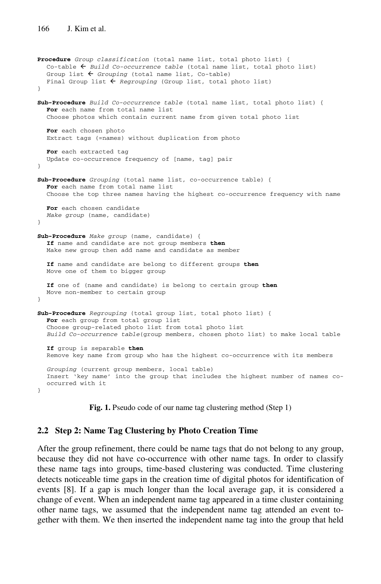```
Procedure Group classification (total name list, total photo list) { 
  Co-table \leftarrow Build Co-occurrence table (total name list, total photo list)
  Group list \leftarrow Grouping (total name list, Co-table)
  Final Group list \leftarrow Regrouping (Group list, total photo list)
} 
Sub-Procedure Build Co-occurrence table (total name list, total photo list) { 
  For each name from total name list 
  Choose photos which contain current name from given total photo list 
  For each chosen photo 
  Extract tags (=names) without duplication from photo 
  For each extracted tag 
  Update co-occurrence frequency of [name, tag] pair 
} 
Sub-Procedure Grouping (total name list, co-occurrence table) { 
  For each name from total name list 
  Choose the top three names having the highest co-occurrence frequency with name 
  For each chosen candidate 
  Make group (name, candidate) 
} 
Sub-Procedure Make group (name, candidate) { 
  If name and candidate are not group members then
  Make new group then add name and candidate as member 
  If name and candidate are belong to different groups then
  Move one of them to bigger group 
  If one of (name and candidate) is belong to certain group then
  Move non-member to certain group 
} 
Sub-Procedure Regrouping (total group list, total photo list) {
  For each group from total group list 
  Choose group-related photo list from total photo list 
  Build Co-occurrence table(group members, chosen photo list) to make local table 
  If group is separable then 
  Remove key name from group who has the highest co-occurrence with its members
  Grouping (current group members, local table) 
Insert 'key name' into the group that includes the highest number of names co-
  occurred with it 
}
```

```
Fig. 1. Pseudo code of our name tag clustering method (Step 1)
```
#### **2.2 Step 2: Name Tag Clustering by Photo Creation Time**

After the group refinement, there could be name tags that do not belong to any group, because they did not have co-occurrence with other name tags. In order to classify these name tags into groups, time-based clustering was conducted. Time clustering detects noticeable time gaps in the creation time of digital photos for identification of events [8]. If a gap is much longer than the local average gap, it is considered a change of event. When an independent name tag appeared in a time cluster containing other name tags, we assumed that the independent name tag attended an event together with them. We then inserted the independent name tag into the group that held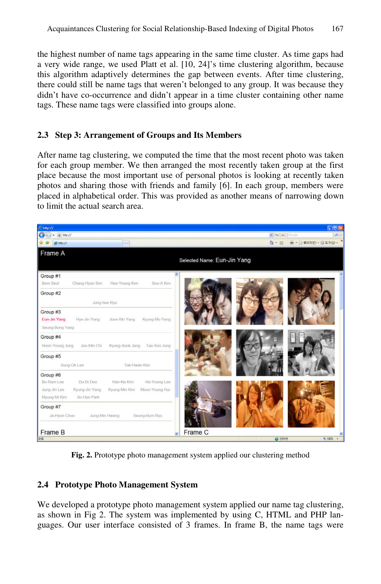the highest number of name tags appearing in the same time cluster. As time gaps had a very wide range, we used Platt et al. [10, 24]'s time clustering algorithm, because this algorithm adaptively determines the gap between events. After time clustering, there could still be name tags that weren't belonged to any group. It was because they didn't have co-occurrence and didn't appear in a time cluster containing other name tags. These name tags were classified into groups alone.

#### **2.3 Step 3: Arrangement of Groups and Its Members**

After name tag clustering, we computed the time that the most recent photo was taken for each group member. We then arranged the most recently taken group at the first place because the most important use of personal photos is looking at recently taken photos and sharing those with friends and family [6]. In each group, members were placed in alphabetical order. This was provided as another means of narrowing down to limit the actual search area.



**Fig. 2.** Prototype photo management system applied our clustering method

#### **2.4 Prototype Photo Management System**

We developed a prototype photo management system applied our name tag clustering, as shown in Fig 2. The system was implemented by using C, HTML and PHP languages. Our user interface consisted of 3 frames. In frame B, the name tags were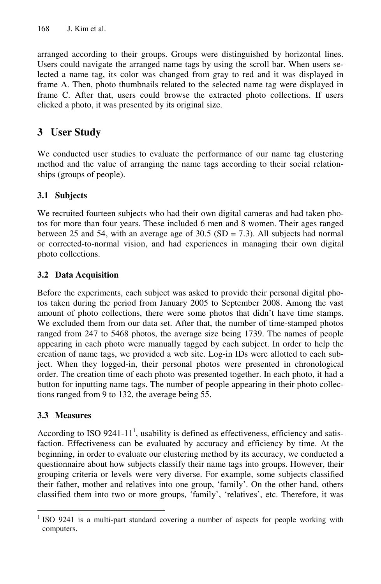arranged according to their groups. Groups were distinguished by horizontal lines. Users could navigate the arranged name tags by using the scroll bar. When users selected a name tag, its color was changed from gray to red and it was displayed in frame A. Then, photo thumbnails related to the selected name tag were displayed in frame C. After that, users could browse the extracted photo collections. If users clicked a photo, it was presented by its original size.

# **3 User Study**

We conducted user studies to evaluate the performance of our name tag clustering method and the value of arranging the name tags according to their social relationships (groups of people).

## **3.1 Subjects**

We recruited fourteen subjects who had their own digital cameras and had taken photos for more than four years. These included 6 men and 8 women. Their ages ranged between 25 and 54, with an average age of  $30.5$  (SD = 7.3). All subjects had normal or corrected-to-normal vision, and had experiences in managing their own digital photo collections.

### **3.2 Data Acquisition**

Before the experiments, each subject was asked to provide their personal digital photos taken during the period from January 2005 to September 2008. Among the vast amount of photo collections, there were some photos that didn't have time stamps. We excluded them from our data set. After that, the number of time-stamped photos ranged from 247 to 5468 photos, the average size being 1739. The names of people appearing in each photo were manually tagged by each subject. In order to help the creation of name tags, we provided a web site. Log-in IDs were allotted to each subject. When they logged-in, their personal photos were presented in chronological order. The creation time of each photo was presented together. In each photo, it had a button for inputting name tags. The number of people appearing in their photo collections ranged from 9 to 132, the average being 55.

### **3.3 Measures**

According to ISO 9241-11<sup>1</sup>, usability is defined as effectiveness, efficiency and satisfaction. Effectiveness can be evaluated by accuracy and efficiency by time. At the beginning, in order to evaluate our clustering method by its accuracy, we conducted a questionnaire about how subjects classify their name tags into groups. However, their grouping criteria or levels were very diverse. For example, some subjects classified their father, mother and relatives into one group, 'family'. On the other hand, others classified them into two or more groups, 'family', 'relatives', etc. Therefore, it was

<sup>-</sup><sup>1</sup> ISO 9241 is a multi-part standard covering a number of aspects for people working with computers.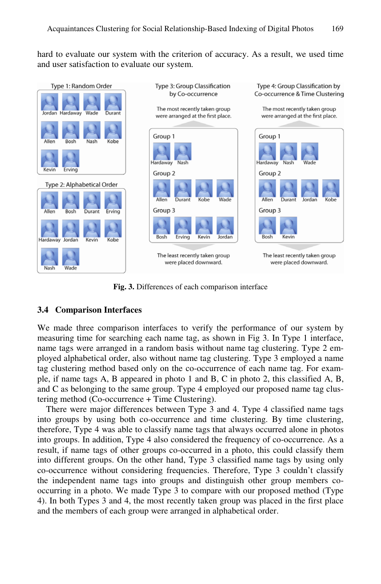hard to evaluate our system with the criterion of accuracy. As a result, we used time and user satisfaction to evaluate our system.



**Fig. 3.** Differences of each comparison interface

#### **3.4 Comparison Interfaces**

We made three comparison interfaces to verify the performance of our system by measuring time for searching each name tag, as shown in Fig 3. In Type 1 interface, name tags were arranged in a random basis without name tag clustering. Type 2 employed alphabetical order, also without name tag clustering. Type 3 employed a name tag clustering method based only on the co-occurrence of each name tag. For example, if name tags A, B appeared in photo 1 and B, C in photo 2, this classified A, B, and C as belonging to the same group. Type 4 employed our proposed name tag clustering method (Co-occurrence + Time Clustering).

There were major differences between Type 3 and 4. Type 4 classified name tags into groups by using both co-occurrence and time clustering. By time clustering, therefore, Type 4 was able to classify name tags that always occurred alone in photos into groups. In addition, Type 4 also considered the frequency of co-occurrence. As a result, if name tags of other groups co-occurred in a photo, this could classify them into different groups. On the other hand, Type 3 classified name tags by using only co-occurrence without considering frequencies. Therefore, Type 3 couldn't classify the independent name tags into groups and distinguish other group members cooccurring in a photo. We made Type 3 to compare with our proposed method (Type 4). In both Types 3 and 4, the most recently taken group was placed in the first place and the members of each group were arranged in alphabetical order.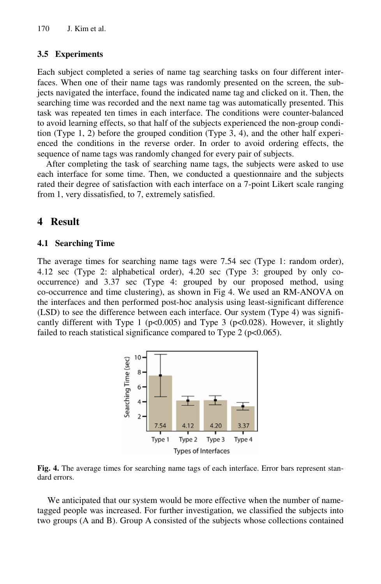#### **3.5 Experiments**

Each subject completed a series of name tag searching tasks on four different interfaces. When one of their name tags was randomly presented on the screen, the subjects navigated the interface, found the indicated name tag and clicked on it. Then, the searching time was recorded and the next name tag was automatically presented. This task was repeated ten times in each interface. The conditions were counter-balanced to avoid learning effects, so that half of the subjects experienced the non-group condition (Type 1, 2) before the grouped condition (Type 3, 4), and the other half experienced the conditions in the reverse order. In order to avoid ordering effects, the sequence of name tags was randomly changed for every pair of subjects.

After completing the task of searching name tags, the subjects were asked to use each interface for some time. Then, we conducted a questionnaire and the subjects rated their degree of satisfaction with each interface on a 7-point Likert scale ranging from 1, very dissatisfied, to 7, extremely satisfied.

# **4 Result**

#### **4.1 Searching Time**

The average times for searching name tags were 7.54 sec (Type 1: random order), 4.12 sec (Type 2: alphabetical order), 4.20 sec (Type 3: grouped by only cooccurrence) and 3.37 sec (Type 4: grouped by our proposed method, using co-occurrence and time clustering), as shown in Fig 4. We used an RM-ANOVA on the interfaces and then performed post-hoc analysis using least-significant difference (LSD) to see the difference between each interface. Our system (Type 4) was significantly different with Type 1 ( $p<0.005$ ) and Type 3 ( $p<0.028$ ). However, it slightly failed to reach statistical significance compared to Type 2 (p<0.065).



**Fig. 4.** The average times for searching name tags of each interface. Error bars represent standard errors.

We anticipated that our system would be more effective when the number of nametagged people was increased. For further investigation, we classified the subjects into two groups (A and B). Group A consisted of the subjects whose collections contained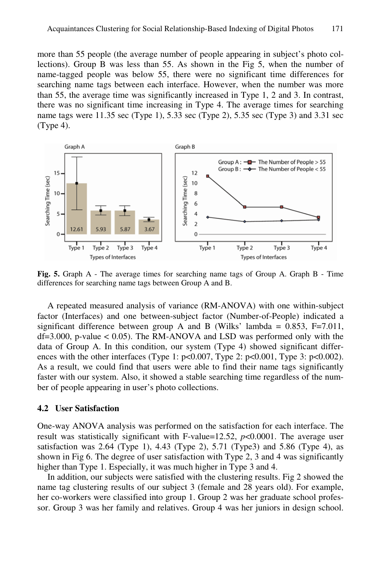more than 55 people (the average number of people appearing in subject's photo collections). Group B was less than 55. As shown in the Fig 5, when the number of name-tagged people was below 55, there were no significant time differences for searching name tags between each interface. However, when the number was more than 55, the average time was significantly increased in Type 1, 2 and 3. In contrast, there was no significant time increasing in Type 4. The average times for searching name tags were 11.35 sec (Type 1), 5.33 sec (Type 2), 5.35 sec (Type 3) and 3.31 sec (Type 4).



**Fig. 5.** Graph A - The average times for searching name tags of Group A. Graph B - Time differences for searching name tags between Group A and B.

A repeated measured analysis of variance (RM-ANOVA) with one within-subject factor (Interfaces) and one between-subject factor (Number-of-People) indicated a significant difference between group A and B (Wilks' lambda =  $0.853$ , F=7.011,  $df=3.000$ , p-value < 0.05). The RM-ANOVA and LSD was performed only with the data of Group A. In this condition, our system (Type 4) showed significant differences with the other interfaces (Type 1: p<0.007, Type 2: p<0.001, Type 3: p<0.002). As a result, we could find that users were able to find their name tags significantly faster with our system. Also, it showed a stable searching time regardless of the number of people appearing in user's photo collections.

#### **4.2 User Satisfaction**

One-way ANOVA analysis was performed on the satisfaction for each interface. The result was statistically significant with F-value=12.52, *p*<0.0001. The average user satisfaction was  $2.64$  (Type 1),  $4.43$  (Type 2),  $5.71$  (Type3) and  $5.86$  (Type 4), as shown in Fig 6. The degree of user satisfaction with Type 2, 3 and 4 was significantly higher than Type 1. Especially, it was much higher in Type 3 and 4.

In addition, our subjects were satisfied with the clustering results. Fig 2 showed the name tag clustering results of our subject 3 (female and 28 years old). For example, her co-workers were classified into group 1. Group 2 was her graduate school professor. Group 3 was her family and relatives. Group 4 was her juniors in design school.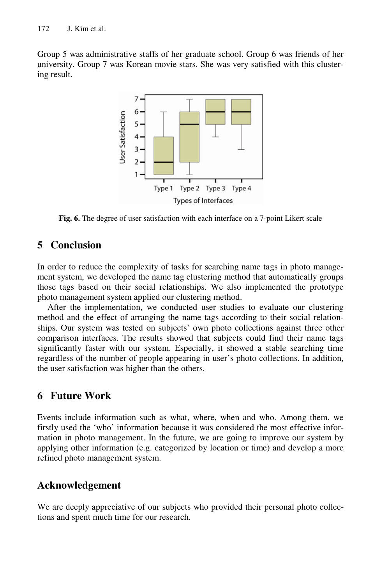Group 5 was administrative staffs of her graduate school. Group 6 was friends of her university. Group 7 was Korean movie stars. She was very satisfied with this clustering result.



**Fig. 6.** The degree of user satisfaction with each interface on a 7-point Likert scale

## **5 Conclusion**

In order to reduce the complexity of tasks for searching name tags in photo management system, we developed the name tag clustering method that automatically groups those tags based on their social relationships. We also implemented the prototype photo management system applied our clustering method.

After the implementation, we conducted user studies to evaluate our clustering method and the effect of arranging the name tags according to their social relationships. Our system was tested on subjects' own photo collections against three other comparison interfaces. The results showed that subjects could find their name tags significantly faster with our system. Especially, it showed a stable searching time regardless of the number of people appearing in user's photo collections. In addition, the user satisfaction was higher than the others.

# **6 Future Work**

Events include information such as what, where, when and who. Among them, we firstly used the 'who' information because it was considered the most effective information in photo management. In the future, we are going to improve our system by applying other information (e.g. categorized by location or time) and develop a more refined photo management system.

# **Acknowledgement**

We are deeply appreciative of our subjects who provided their personal photo collections and spent much time for our research.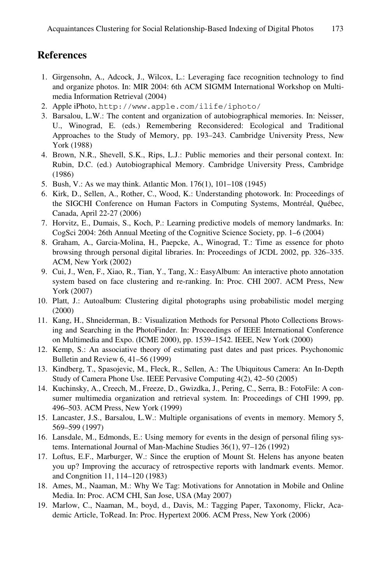# **References**

- 1. Girgensohn, A., Adcock, J., Wilcox, L.: Leveraging face recognition technology to find and organize photos. In: MIR 2004: 6th ACM SIGMM International Workshop on Multimedia Information Retrieval (2004)
- 2. Apple iPhoto, http://www.apple.com/ilife/iphoto/
- 3. Barsalou, L.W.: The content and organization of autobiographical memories. In: Neisser, U., Winograd, E. (eds.) Remembering Reconsidered: Ecological and Traditional Approaches to the Study of Memory, pp. 193–243. Cambridge University Press, New York (1988)
- 4. Brown, N.R., Shevell, S.K., Rips, L.J.: Public memories and their personal context. In: Rubin, D.C. (ed.) Autobiographical Memory. Cambridge University Press, Cambridge (1986)
- 5. Bush, V.: As we may think. Atlantic Mon. 176(1), 101–108 (1945)
- 6. Kirk, D., Sellen, A., Rother, C., Wood, K.: Understanding photowork. In: Proceedings of the SIGCHI Conference on Human Factors in Computing Systems, Montréal, Québec, Canada, April 22-27 (2006)
- 7. Horvitz, E., Dumais, S., Koch, P.: Learning predictive models of memory landmarks. In: CogSci 2004: 26th Annual Meeting of the Cognitive Science Society, pp. 1–6 (2004)
- 8. Graham, A., Garcia-Molina, H., Paepcke, A., Winograd, T.: Time as essence for photo browsing through personal digital libraries. In: Proceedings of JCDL 2002, pp. 326–335. ACM, New York (2002)
- 9. Cui, J., Wen, F., Xiao, R., Tian, Y., Tang, X.: EasyAlbum: An interactive photo annotation system based on face clustering and re-ranking. In: Proc. CHI 2007. ACM Press, New York (2007)
- 10. Platt, J.: Autoalbum: Clustering digital photographs using probabilistic model merging (2000)
- 11. Kang, H., Shneiderman, B.: Visualization Methods for Personal Photo Collections Browsing and Searching in the PhotoFinder. In: Proceedings of IEEE International Conference on Multimedia and Expo. (ICME 2000), pp. 1539–1542. IEEE, New York (2000)
- 12. Kemp, S.: An associative theory of estimating past dates and past prices. Psychonomic Bulletin and Review 6, 41–56 (1999)
- 13. Kindberg, T., Spasojevic, M., Fleck, R., Sellen, A.: The Ubiquitous Camera: An In-Depth Study of Camera Phone Use. IEEE Pervasive Computing 4(2), 42–50 (2005)
- 14. Kuchinsky, A., Creech, M., Freeze, D., Gwizdka, J., Pering, C., Serra, B.: FotoFile: A consumer multimedia organization and retrieval system. In: Proceedings of CHI 1999, pp. 496–503. ACM Press, New York (1999)
- 15. Lancaster, J.S., Barsalou, L.W.: Multiple organisations of events in memory. Memory 5, 569–599 (1997)
- 16. Lansdale, M., Edmonds, E.: Using memory for events in the design of personal filing systems. International Journal of Man-Machine Studies 36(1), 97–126 (1992)
- 17. Loftus, E.F., Marburger, W.: Since the eruption of Mount St. Helens has anyone beaten you up? Improving the accuracy of retrospective reports with landmark events. Memor. and Congnition 11, 114–120 (1983)
- 18. Ames, M., Naaman, M.: Why We Tag: Motivations for Annotation in Mobile and Online Media. In: Proc. ACM CHI, San Jose, USA (May 2007)
- 19. Marlow, C., Naaman, M., boyd, d., Davis, M.: Tagging Paper, Taxonomy, Flickr, Academic Article, ToRead. In: Proc. Hypertext 2006. ACM Press, New York (2006)